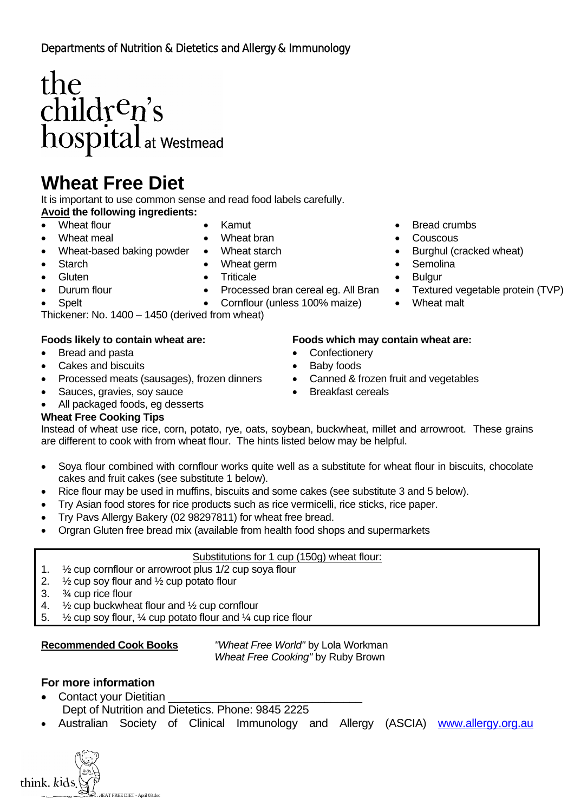# $\begin{array}{l} the\\ child\mathbf{r}^c\mathbf{n}'\mathbf{s}\\ hospital_{at\text{ westmead}} \end{array}$

# **Wheat Free Diet**

It is important to use common sense and read food labels carefully.

- **Avoid the following ingredients:** 
	-
- 
- 
- Wheat-based baking powder Wheat starch • Burghul (cracked wheat)
- 

- 
- -
- Thickener: No. 1400 1450 (derived from wheat)

- Bread and pasta **•** Confectionery
- Cakes and biscuits Baby foods
- Processed meats (sausages), frozen dinners Canned & frozen fruit and vegetables
- Sauces, gravies, soy sauce Breakfast cereals
- All packaged foods, eg desserts

## **Wheat Free Cooking Tips**

Instead of wheat use rice, corn, potato, rye, oats, soybean, buckwheat, millet and arrowroot. These grains are different to cook with from wheat flour. The hints listed below may be helpful.

- Soya flour combined with cornflour works quite well as a substitute for wheat flour in biscuits, chocolate cakes and fruit cakes (see substitute 1 below).
- Rice flour may be used in muffins, biscuits and some cakes (see substitute 3 and 5 below).
- Try Asian food stores for rice products such as rice vermicelli, rice sticks, rice paper.
- Try Pavs Allergy Bakery (02 98297811) for wheat free bread.
- Orgran Gluten free bread mix (available from health food shops and supermarkets

### Substitutions for 1 cup (150g) wheat flour:

- 1. ½ cup cornflour or arrowroot plus 1/2 cup soya flour
- 2. ½ cup soy flour and ½ cup potato flour
- 3. ¾ cup rice flour
- 4. ½ cup buckwheat flour and ½ cup cornflour
- 5. ½ cup soy flour, ¼ cup potato flour and ¼ cup rice flour

**Recommended Cook Books** *"Wheat Free World"* by Lola Workman *Wheat Free Cooking"* by Ruby Brown

## **For more information**

- Contact your Dietitian
	- Dept of Nutrition and Dietetics. Phone: 9845 2225
- Australian Society of Clinical Immunology and Allergy (ASCIA) www.allergy.org.au
- Wheat flour Kamut Bread crumbs
	- Wheat meal Wheat bran Wheat bran Couscous
		-
- Starch Wheat germ Starch Semolina
- Gluten Triticale Triticale Bulgur
- Durum flour Processed bran cereal eg. All Bran Textured vegetable protein (TVP)
	- Spelt Cornflour (unless 100% maize) Wheat malt

### **Foods likely to contain wheat are: Foods which may contain wheat are:**

- 
- 
- 
-